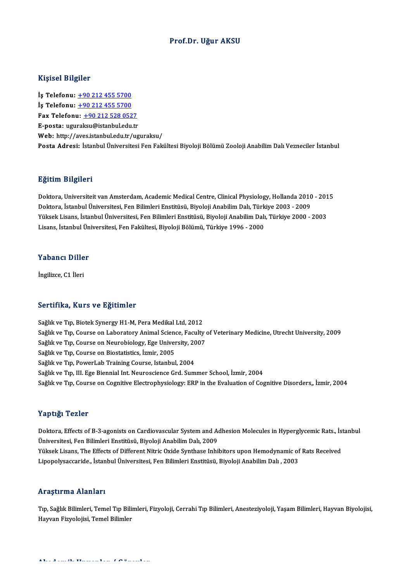### Prof.Dr. Uğur AKSU

### Kişisel Bilgiler

Kişisel Bilgiler<br>İş Telefonu: <u>+90 212 455 5700</u><br>İs Telefonu: 190 212 455 5700 1191001 2119101<br>İş Telefonu: <u>+90 212 455 5700</u><br>İş Telefonu: <u>+90 212 455 5700</u><br>Fax Telefonu: +90 212 528 052 Iş Telefonu: <u>+90 212 455 5700</u><br>Iş Telefonu: <u>+90 212 455 5700</u><br>Fax Telefonu: <u>+90 212 528 0527</u><br>E nosta: ugurakay@istanbul.edu.tr **is Telefonu: <u>+90 212 455 5700</u>**<br>Fax Telefonu: <u>+90 212 528 0527</u><br>E-posta: ugu[ra](tel:+90 212 455 5700)[ksu@istanbul.edu.tr](tel:+90 212 528 0527) Web: http://aves.istanbul.edu.tr/uguraksu/ Posta Adresi: İstanbul Üniversitesi Fen Fakültesi Biyoloji Bölümü Zooloji Anabilim Dalı Vezneciler İstanbul

### Eğitim Bilgileri

Doktora, Universiteit van Amsterdam, Academic Medical Centre, Clinical Physiology, Hollanda 2010 - 2015 ngrenn Dirgireri<br>Doktora, Universiteit van Amsterdam, Academic Medical Centre, Clinical Physiology, Hollanda 2010<br>Doktora, İstanbul Üniversitesi, Fen Bilimleri Enstitüsü, Biyoloji Anabilim Dalı, Türkiye 2003 - 2009<br>Vülgek Doktora, Universiteit van Amsterdam, Academic Medical Centre, Clinical Physiology, Hollanda 2010 - 201<br>Doktora, İstanbul Üniversitesi, Fen Bilimleri Enstitüsü, Biyoloji Anabilim Dalı, Türkiye 2003 - 2009<br>Yüksek Lisans, İst Doktora, İstanbul Üniversitesi, Fen Bilimleri Enstitüsü, Biyoloji Anabilim Dalı, Türk<br>Yüksek Lisans, İstanbul Üniversitesi, Fen Bilimleri Enstitüsü, Biyoloji Anabilim Dalı<br>Lisans, İstanbul Üniversitesi, Fen Fakültesi, Biyo

# Lisans, istanbul ün<br>Yabancı Diller Y<mark>abancı Dille</mark><br>İngilizce, C1 İleri

# İngilizce, C1 İleri<br>Sertifika, Kurs ve Eğitimler

Sağlık ve Tıp, Biotek Synergy H1-M, Pera Medikal Ltd, 2012 Sağlık ve Tıp, Course on Laboratory Animal Science, Faculty of Veterinary Medicine, Utrecht University, 2009 Sağlık ve Tıp, Biotek Synergy H1-M, Pera Medikal Ltd, 2012<br>Sağlık ve Tıp, Course on Laboratory Animal Science, Faculty<br>Sağlık ve Tıp, Course on Neurobiology, Ege University, 2007<br>Sağlık ve Tıp, Course on Piestatistics, İrm Sağlık ve Tıp, Course on Laboratory Animal Sciene<br>Sağlık ve Tıp, Course on Neurobiology, Ege Univer<br>Sağlık ve Tıp, Course on Biostatistics, İzmir, 2005<br>Sağlık ve Tıp, Pourarl ab Training Course, İstanbul Sağlık ve Tıp, Course on Neurobiology, Ege University, 2005<br>Sağlık ve Tıp, Course on Biostatistics, İzmir, 2005<br>Sağlık ve Tıp, PowerLab Training Course, Istanbul, 2004<br>Sağlık ve Tıp, III. Ege Bionnial Int, Naurossianse Crd Sağlık ve Tıp, Course on Biostatistics, İzmir, 2005<br>Sağlık ve Tıp, PowerLab Training Course, Istanbul, 2004<br>Sağlık ve Tıp, III. Ege Biennial Int. Neuroscience Grd. Summer School, İzmir, 2004 Sağlık ve Tıp, Course on Cognitive Electrophysiology: ERP in the Evaluation of Cognitive Disorders, İzmir, 2004

### Yaptığı Tezler

Yaptığı Tezler<br>Doktora, Effects of B-3-agonists on Cardiovascular System and Adhesion Molecules in Hyperglycemic Rats., İstanbul<br>Üniversitesi, Fen Pilimleri Enstitüsü, Piveleji Anabilim Dak. 2009 Üniversitesi, Fen Bilimleri Enstitüsü, Biyoloji Anabilim Dalı, 2009<br>Yüksek Lisans, The Effects of Different Nitric Oxide Synthase Inhibitors upon Hemodynamic of Rats Received Doktora, Effects of B-3-agonists on Cardiovascular System and Adhesion Molecules in Hyperglycemic Rats., İst<br>Üniversitesi, Fen Bilimleri Enstitüsü, Biyoloji Anabilim Dalı, 2009<br>Yüksek Lisans, The Effects of Different Nitri Lipopolysaccaride., İstanbulÜniversitesi,FenBilimleriEnstitüsü,BiyolojiAnabilimDalı ,2003

#### Araştırma Alanları

**Araştırma Alanları**<br>Tıp, Sağlık Bilimleri, Temel Tıp Bilimleri, Fizyoloji, Cerrahi Tıp Bilimleri, Anesteziyoloji, Yaşam Bilimleri, Hayvan Biyolojisi,<br>Hayvan Firvelejisi, Tamel Bilimler 111 uyen mu Thumur 1<br>Tıp, Sağlık Bilimleri, Temel Tıp Biliı<br>Hayvan Fizyolojisi, Temel Bilimler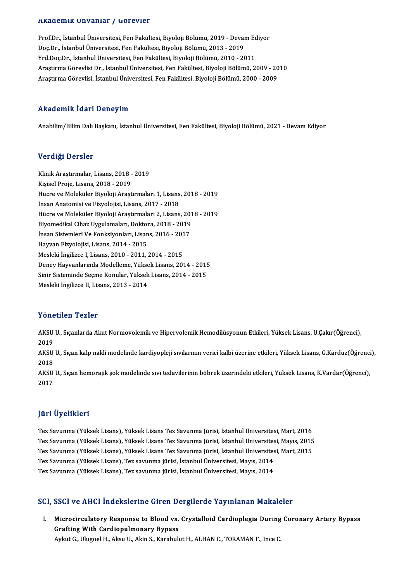#### Akademik Unvanlar / Görevler

Prof.Dr., İstanbul Üniversitesi, Fen Fakültesi, Biyoloji Bölümü, 2019 - Devam Ediyor rında olirin "Olivaliral" / "dör ovtor"<br>Prof.Dr., İstanbul Üniversitesi, Fen Fakültesi, Biyoloji Bölümü, 2019 - Deval<br>Doç.Dr., İstanbul Üniversitesi, Fen Fakültesi, Biyoloji Bölümü, 2013 - 2019<br>Vrd Doc.Dr., İstanbul Üniver Prof.Dr., İstanbul Üniversitesi, Fen Fakültesi, Biyoloji Bölümü, 2019 - Devam Ec<br>Doç.Dr., İstanbul Üniversitesi, Fen Fakültesi, Biyoloji Bölümü, 2013 - 2019<br>Yrd.Doç.Dr., İstanbul Üniversitesi, Fen Fakültesi, Biyoloji Bölüm Yrd.Doç.Dr., İstanbul Üniversitesi, Fen Fakültesi, Biyoloji Bölümü, 2010 - 2011<br>Araştırma Görevlisi Dr., İstanbul Üniversitesi, Fen Fakültesi, Biyoloji Bölümü, 2009 - 2010 AraştırmaGörevlisi, İstanbulÜniversitesi,FenFakültesi,BiyolojiBölümü,2000 -2009

#### Akademik İdari Deneyim

Anabilim/Bilim Dalı Başkanı, İstanbul Üniversitesi, Fen Fakültesi, Biyoloji Bölümü, 2021 - Devam Ediyor

#### Verdiği Dersler

Verdiği Dersler<br>Klinik Araştırmalar, Lisans, 2018 - 2019<br>Kisisel Preje Lisans, 2018 - 2019 v or drgr 2 or 5101<br>Klinik Araştırmalar, Lisans, 2018 -<br>Kişisel Proje, Lisans, 2018 - 2019<br>Hügre ve Moleküler Biveleji Arast Klinik Araştırmalar, Lisans, 2018 - 2019<br>Kişisel Proje, Lisans, 2018 - 2019<br>Hücre ve Moleküler Biyoloji Araştırmaları 1, Lisans, 2018 - 2019<br>İnsan Anatomisi ve Fizyolojisi, Lisans, 2017 - 2018 Kişisel Proje, Lisans, 2018 - 2019<br>Hücre ve Moleküler Biyoloji Araştırmaları 1, Lisans<br>İnsan Anatomisi ve Fizyolojisi, Lisans, 2017 - 2018<br>Hügre ve Moleküler Biyoloji Arastırmaları 2, Lisans Hücre ve Moleküler Biyoloji Araştırmaları 1, Lisans, 2018 - 2019<br>İnsan Anatomisi ve Fizyolojisi, Lisans, 2017 - 2018<br>Hücre ve Moleküler Biyoloji Araştırmaları 2, Lisans, 2018 - 2019<br>Biyomodikal Cihar Uygulamaları, Doktora, İnsan Anatomisi ve Fizyolojisi, Lisans, 2017 - 2018<br>Hücre ve Moleküler Biyoloji Araştırmaları 2, Lisans, 201<br>Biyomedikal Cihaz Uygulamaları, Doktora, 2018 - 2019<br>İnsan Sistamlari Ve Fonksiyonları, Lisans, 2016 - 2017 Hücre ve Moleküler Biyoloji Araştırmaları 2, Lisans, 20<br>Biyomedikal Cihaz Uygulamaları, Doktora, 2018 - 2019<br>İnsan Sistemleri Ve Fonksiyonları, Lisans, 2016 - 2017<br>Hawran Eirvelejisi, Lisans, 2014, 2015 Biyomedikal Cihaz Uygulamaları, Doktora, 2018 - 2019<br>İnsan Sistemleri Ve Fonksiyonları, Lisans, 2016 - 2017<br>Hayvan Fizyolojisi, Lisans, 2014 - 2015<br>Mesleki İngilizce I, Lisans, 2010 - 2011, 2014 - 2015 İnsan Sistemleri Ve Fonksiyonları, Lisans, 2016 - 2017 Hayvan Fizyolojisi, Lisans, 2014 - 2015<br>Mesleki İngilizce I, Lisans, 2010 - 2011, 2014 - 2015<br>Deney Hayvanlarında Modelleme, Yüksek Lisans, 2014 - 2015<br>Sinin Sisteminde Seame Kanular, Yüksek Lisans, 2014 - 2015 Mesleki İngilizce I, Lisans, 2010 - 2011, 2014 - 2015<br>Deney Hayvanlarında Modelleme, Yüksek Lisans, 2014 - 2015<br>Sinir Sisteminde Seçme Konular, Yüksek Lisans, 2014 - 2015<br>Mesleki İngilize II, Lisans, 2012, 2014 Deney Hayvanlarında Modelleme, Yükse<br>Sinir Sisteminde Seçme Konular, Yüksek<br>Mesleki İngilizce II, Lisans, 2013 - 2014 Mesleki İngilizce II, Lisans, 2013 - 2014<br>Yönetilen Tezler

Yönetilen Tezler<br>AKSU U., Sıçanlarda Akut Normovolemik ve Hipervolemik Hemodilüsyonun Etkileri, Yüksek Lisans, U.Çakır(Öğrenci),<br>2019 A USH<br>AKSU<br>2019 AKSU U., Sıçanlarda Akut Normovolemik ve Hipervolemik Hemodilüsyonun Etkileri, Yüksek Lisans, U.Çakır(Öğrenci),<br>2019<br>AKSU U., Sıçan kalp nakli modelinde kardiyopleji sıvılarının verici kalbi üzerine etkileri, Yüksek Lisans

2019<br>AKSU<br>2018<br>A*V*SU AKSU U., Sıçan kalp nakli modelinde kardiyopleji sıvılarının verici kalbi üzerine etkileri, Yüksek Lisans, G.Karduz(Öğrenci<br>2018<br>AKSU U., Sıçan hemorajik şok modelinde sıvı tedavilerinin böbrek üzerindeki etkileri, Yüksek

2018<br>AKSU U., Sıçan hemorajik şok modelinde sıvı tedavilerinin böbrek üzerindeki etkileri, Yüksek Lisans, K.Vardar(Öğrenci),<br>2017

### JüriÜyelikleri

Tez Savunma (YüksekLisans),YüksekLisansTez Savunma Jürisi, İstanbulÜniversitesi,Mart,2016 yarr Oyommorr<br>Tez Savunma (Yüksek Lisans), Yüksek Lisans Tez Savunma Jürisi, İstanbul Üniversitesi, Mart, 2016<br>Tez Savunma (Yüksek Lisans), Yüksek Lisans Tez Savunma Jürisi, İstanbul Üniversitesi, Mayıs, 2015<br>Tez Savunma ( Tez Savunma (Yüksek Lisans), Yüksek Lisans Tez Savunma Jürisi, İstanbul Üniversitesi, Mart, 2016<br>Tez Savunma (Yüksek Lisans), Yüksek Lisans Tez Savunma Jürisi, İstanbul Üniversitesi, Mayıs, 2015<br>Tez Savunma (Yüksek Lisans) Tez Savunma (Yüksek Lisans), Yüksek Lisans Tez Savunma Jürisi, İstanbul Üniversites<br>Tez Savunma (Yüksek Lisans), Yüksek Lisans Tez Savunma Jürisi, İstanbul Üniversites<br>Tez Savunma (Yüksek Lisans), Tez savunma jürisi, İstan Tez Savunma (Yüksek Lisans), Yüksek Lisans Tez Savunma Jürisi, İstanbul Üniversitesi, Mart, 2015<br>Tez Savunma (Yüksek Lisans), Tez savunma jürisi, İstanbul Üniversitesi, Mayıs, 2014<br>Tez Savunma (Yüksek Lisans), Tez savunma

# 1ez savunma (ruksek Lisans), 1ez savunma jurisi, istanbul oniversitesi, Mayıs, 2014<br>SCI, SSCI ve AHCI İndekslerine Giren Dergilerde Yayınlanan Makaleler

CI, SSCI ve AHCI İndekslerine Giren Dergilerde Yayınlanan Makaleler<br>I. Microcirculatory Response to Blood vs. Crystalloid Cardioplegia During Coronary Artery Bypass<br>Crafting With Cardiopulmenery Bypass Microcirculatory Response to Blood vs. Crystalloid Cardioplegia During Coronary Artery Bypass<br>Grafting With Cardiopulmonary Bypass Aykut G., Ulugoel H., Aksu U., Akin S., Karabulut H., ALHAN C., TORAMAN F., Ince C.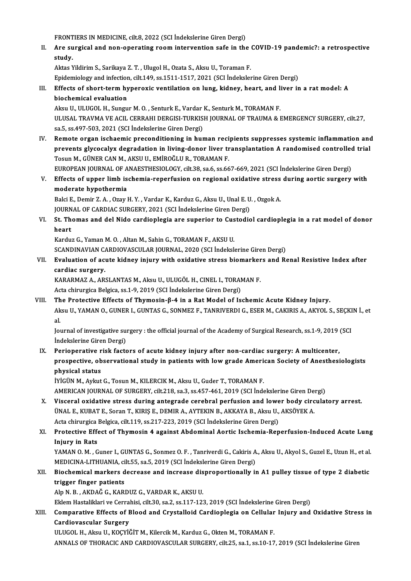FRONTIERS IN MEDICINE, cilt.8, 2022 (SCI İndekslerine Giren Dergi)<br>Ane gungical and non-aparating noom intervention asfa in the

FRONTIERS IN MEDICINE, cilt.8, 2022 (SCI İndekslerine Giren Dergi)<br>II. Are surgical and non-operating room intervention safe in the COVID-19 pandemic?: a retrospective<br>Atridix FRONT<br>Are su<br>study. Are surgical and non-operating room intervention safe in the<br>study.<br>Aktas Yildirim S., Sarikaya Z. T. , Ulugol H., Ozata S., Aksu U., Toraman F.<br>Enidomialogy and infection silt 140, ss 1511 1517 2021 (SCL Indeksler)

study.<br>Aktas Yildirim S., Sarikaya Z. T. , Ulugol H., Ozata S., Aksu U., Toraman F.<br>Epidemiology and infection, cilt.149, ss.1511-1517, 2021 (SCI İndekslerine Giren Dergi)<br>Effects of short torm hyneroxis ventilation on lun

# Aktas Yildirim S., Sarikaya Z. T. , Ulugol H., Ozata S., Aksu U., Toraman F.<br>Epidemiology and infection, cilt.149, ss.1511-1517, 2021 (SCI Indekslerine Giren Dergi)<br>III. Effects of short-term hyperoxic ventilation on lung, Epidemiology and infection<br>Effects of short-term hy<br>biochemical evaluation<br>Alroy II, HH HCOL H, Sungu Effects of short-term hyperoxic ventilation on lung, kidney, heart, and li<br>biochemical evaluation<br>Aksu U., ULUGOL H., Sungur M. O. , Senturk E., Vardar K., Senturk M., TORAMAN F.<br>ULUSAL TRAVMA VE ACU, CERRAHI DERCISI TURKI

biochemical evaluation<br>Aksu U., ULUGOL H., Sungur M. O. , Senturk E., Vardar K., Senturk M., TORAMAN F.<br>ULUSAL TRAVMA VE ACIL CERRAHI DERGISI-TURKISH JOURNAL OF TRAUMA & EMERGENCY SURGERY, cilt.27, sa.5, ss.497-503, 2021 (SCI İndekslerine Giren Dergi) ULUSAL TRAVMA VE ACIL CERRAHI DERGISI-TURKISH JOURNAL OF TRAUMA & EMERGENCY SURGERY, cilt.27,<br>sa.5, ss.497-503, 2021 (SCI indekslerine Giren Dergi)<br>IV. Remote organ ischaemic preconditioning in human recipients suppresses

sa.5, ss.497-503, 2021 (SCI İndekslerine Giren Dergi)<br>Remote organ ischaemic preconditioning in human recipients suppresses systemic inflammation and<br>Pesun M. CÜNER CAN M. AKSU U. EMİROĞULR, TORAMAN E Remote organ ischaemic preconditioning in human reciprevents glycocalyx degradation in living-donor liver tr<br>Tosun M., GÜNER CAN M., AKSU U., EMİROĞLU R., TORAMAN F.<br>FUROPEAN JOURNAL OF ANAESTUESIOLOCY silt 22.936.6366 prevents glycocalyx degradation in living-donor liver transplantation A randomised controlled<br>Tosun M., GÜNER CAN M., AKSU U., EMİROĞLU R., TORAMAN F.<br>EUROPEAN JOURNAL OF ANAESTHESIOLOGY, cilt.38, sa.6, ss.667-669, 2021 (S

Tosun M., GÜNER CAN M., AKSU U., EMİROĞLU R., TORAMAN F.<br>EUROPEAN JOURNAL OF ANAESTHESIOLOGY, cilt.38, sa.6, ss.667-669, 2021 (SCI İndekslerine Giren Dergi)<br>V. Effects of upper limb ischemia-reperfusion on regional oxidati EUROPEAN JOURNAL OF A<br>Effects of upper limb is<br>moderate hypothermia<br>Baki E. Damin 7, A. Oray l Effects of upper limb ischemia-reperfusion on regional oxidative stress<br>moderate hypothermia<br>Balci E., Demir Z. A. , Ozay H. Y. , Vardar K., Karduz G., Aksu U., Unal E. U. , Ozgok A.<br>JOUPMAL OF GARDIAC SURGERY 2021 (SCL In

moderate hypothermia<br>Balci E., Demir Z. A. , Ozay H. Y. , Vardar K., Karduz G., Aksu U., Unal E. U<br>JOURNAL OF CARDIAC SURGERY, 2021 (SCI İndekslerine Giren Dergi)<br>St. Themas and dal Nide sandianlagia ane sunaniar te Gustad

Balci E., Demir Z. A. , Ozay H. Y. , Vardar K., Karduz G., Aksu U., Unal E. U. , Ozgok A.<br>JOURNAL OF CARDIAC SURGERY, 2021 (SCI İndekslerine Giren Dergi)<br>VI. St. Thomas and del Nido cardioplegia are superior to Custodiol c JOURN<br><mark>St. Th</mark><br>heart<br>Kardw St. Thomas and del Nido cardioplegia are superior to Cus<br>heart<br>Karduz G., Yaman M. O. , Altan M., Sahin G., TORAMAN F., AKSU U.<br>SCANDINAVIAN CARDIOVASCULAR JOURNAL -2020 (SCL Indeksk

heart<br>Karduz G., Yaman M. O. , Altan M., Sahin G., TORAMAN F., AKSU U.<br>SCANDINAVIAN CARDIOVASCULAR JOURNAL, 2020 (SCI İndekslerine Giren Dergi)

# Karduz G., Yaman M. O. , Altan M., Sahin G., TORAMAN F., AKSU U.<br>SCANDINAVIAN CARDIOVASCULAR JOURNAL, 2020 (SCI İndekslerine Giren Dergi)<br>VII. Evaluation of acute kidney injury with oxidative stress biomarkers and Rena SCANDINAVIAN C<sub>4</sub><br>Evaluation of ac<br>cardiac surgery.<br>KARAPMAZ A AP Evaluation of acute kidney injury with oxidative stress biomarker<br>cardiac surgery.<br>KARARMAZ A., ARSLANTAS M., Aksu U., ULUGÖL H., CINEL I., TORAMAN F.<br>Acto chimurgica Baktisa ss 1, 9, 2019 (SSL Indekslarine Giran Dergi).

cardiac surgery.<br>KARARMAZ A., ARSLANTAS M., Aksu U., ULUGÖL H., CINEL I., TORAMAN F.<br>Acta chirurgica Belgica, ss.1-9, 2019 (SCI İndekslerine Giren Dergi)

# VIII. The Protective Effects of Thymosin-β-4 in a Rat Model of Ischemic Acute Kidney Injury. Acta chirurgica Belgica, ss.1-9, 2019 (SCI İndekslerine Giren Dergi)<br>The Protective Effects of Thymosin-β-4 in a Rat Model of Ischemic Acute Kidney Injury.<br>Aksu U., YAMAN O., GUNER I., GUNTAS G., SONMEZ F., TANRIVERDI G., Th<br>Ak<br>al. Aksu U., YAMAN O., GUNER I., GUNTAS G., SONMEZ F., TANRIVERDI G., ESER M., CAKIRIS A., AKYOL S., SEÇKI<br>al.<br>Journal of investigative surgery : the official journal of the Academy of Surgical Research, ss.1-9, 2019 (SCI<br>Inde

al.<br>Journal of investigative surgery : the official journal of the Academy of Surgical Research, ss.1-9, 2019 (SCI<br>İndekslerine Giren Dergi) Journal of investigative surgery : the official journal of the Academy of Surgical Research, ss.1-9, 2019<br>Indekslerine Giren Dergi)<br>IX. Perioperative risk factors of acute kidney injury after non-cardiac surgery: A multice

# prospective, observational study in patients with lowgrade American Society of Anesthesiologists Perioperative r<br>prospective, ob<br>physical status<br>ivicijn Madrut

İYİGÜN M., Aykut G., Tosun M., KILERCIK M., Aksu U., Guder T., TORAMAN F. AMERICAN JOURNAL OF SURGERY, cilt.218, sa.3, ss.457-461, 2019 (SCI İndekslerine Giren Dergi)

X. Visceral oxidative stress during antegrade cerebral perfusion and lower body circulatory arrest. AMERICAN JOURNAL OF SURGERY, cilt.218, sa.3, ss.457-461, 2019 (SCI İndekslerine Giren De<br>Visceral oxidative stress during antegrade cerebral perfusion and lower body circ<br>ÜNAL E., KUBAT E., Soran T., KIRIŞ E., DEMIR A., AY Visceral oxidative stress during antegrade cerebral perfusion and lowe<br>ÜNAL E., KUBAT E., Soran T., KIRIŞ E., DEMIR A., AYTEKIN B., AKKAYA B., Aksu U.,<br>Acta chirurgica Belgica, cilt.119, ss.217-223, 2019 (SCI İndekslerine Acta chirurgica Belgica, cilt.119, ss.217-223, 2019 (SCI İndekslerine Giren Dergi)

# XI. Protective Effect of Thymosin 4 against Abdominal Aortic Ischemia-Reperfusion-Induced Acute Lung Protective Effect of Thymosin 4 against Abdominal Aortic Ischemia-Reperfusion-Induced Acute Lung<br>Injury in Rats<br>YAMAN O.M. , Guner I., GUNTAS G., Sonmez O.F. , Tanriverdi G., Cakiris A., Aksu U., Akyol S., Guzel E., Uzun H

I<mark>njury in Rats</mark><br>YAMAN O. M. , Guner I., GUNTAS G., Sonmez O. F. , Tanriverdi G., Cakiris A<br>MEDICINA-LITHUANIA, cilt.55, sa.5, 2019 (SCI İndekslerine Giren Dergi)<br>Piesbemisel markers desreese and insreese disprepartionally YAMAN O. M. , Guner I., GUNTAS G., Sonmez O. F. , Tanriverdi G., Cakiris A., Aksu U., Akyol S., Guzel E., Uzun H., et al.<br>MEDICINA-LITHUANIA, cilt.55, sa.5, 2019 (SCI İndekslerine Giren Dergi)<br>XII. Biochemical markers decr

# MEDICINA-LITHUANIA, cilt.55, sa.5, 2019 (SCI İndekslerine Giren Dergi)<br>Biochemical markers decrease and increase disproportionally i<br>trigger finger patients<br>Alp N. B., AKDAĞ G., KARDUZ G., VARDAR K., AKSU U. XII. Biochemical markers decrease and increase disproportionally in A1 pulley tissue of type 2 diabetic trigger finger patients<br>Alp N. B. , AKDAĞ G., KARDUZ G., VARDAR K., AKSU U.<br>Eklem Hastaliklari ve Cerrahisi, cilt.30, sa.2, ss.117-123, 2019 (SCI İndekslerine Giren Dergi)<br>Comparative Effects of Blood and Cuvatalloid Cardi

# Alp N. B. , AKDAĞ G., KARDUZ G., VARDAR K., AKSU U.<br>Eklem Hastaliklari ve Cerrahisi, cilt.30, sa.2, ss.117-123, 2019 (SCI İndekslerine Giren Dergi)<br>XIII. Comparative Effects of Blood and Crystalloid Cardioplegia on Cel Eklem Hastaliklari ve Cerra<br>Comparative Effects of E<br>Cardiovascular Surgery<br>III UCOL H. Almu II, KOCYİ Comparative Effects of Blood and Crystalloid Cardioplegia on Cellular<br>Cardiovascular Surgery<br>ULUGOL H., Aksu U., KOÇYİĞİT M., Kilercik M., Karduz G., Okten M., TORAMAN F.<br>ANNALS OF THORACIC AND CARDIOVASCULAR SURCERY, silt

Cardiovascular Surgery<br>ULUGOL H., Aksu U., KOÇYİĞİT M., Kilercik M., Karduz G., Okten M., TORAMAN F.<br>ANNALS OF THORACIC AND CARDIOVASCULAR SURGERY, cilt.25, sa.1, ss.10-17, 2019 (SCI İndekslerine Giren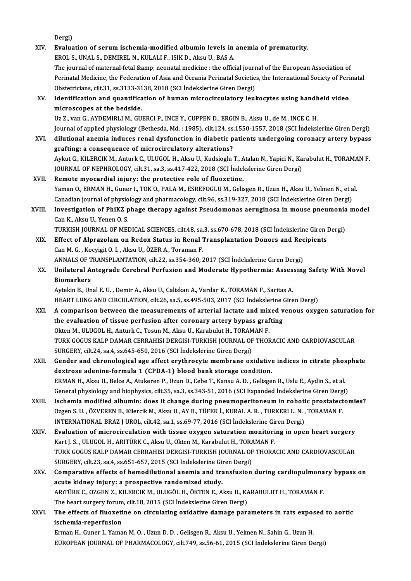Dergi)

Dergi)<br>XIV. Evaluation of serum ischemia-modified albumin levels in anemia of prematurity.<br>EPOLS UNALS DEMIRELN, KULALLE ISIK D. Algu U. BAS A. Dergi)<br><mark>Evaluation of serum ischemia-modified albumin levels in</mark><br>EROL S., UNAL S., DEMIREL N., KULALI F., ISIK D., Aksu U., BAS A.<br>The journal of maternal fetal Samp, neenatal medicine : the offic Evaluation of serum ischemia-modified albumin levels in anemia of prematurity.<br>EROL S., UNAL S., DEMIREL N., KULALI F., ISIK D., Aksu U., BAS A.<br>The journal of maternal-fetal &amp; neonatal medicine : the official journal EROL S., UNAL S., DEMIREL N., KULALI F., ISIK D., Aksu U., BAS A.<br>The journal of maternal-fetal &amp; neonatal medicine : the official journal of the European Association of<br>Perinatal Medicine, the Federation of Asia and O The journal of maternal-fetal & neonatal medicine : the official journ<br>Perinatal Medicine, the Federation of Asia and Oceania Perinatal Societie<br>Obstetricians, cilt.31, ss.3133-3138, 2018 (SCI İndekslerine Giren Dergi) Perinatal Medicine, the Federation of Asia and Oceania Perinatal Societies, the International Society of Peri<br>Obstetricians, cilt.31, ss.3133-3138, 2018 (SCI Indekslerine Giren Dergi)<br>XV. Identification and quantification Obstetricians, cilt.31, ss.3133-31<br>Identification and quantifica<br>microscopes at the bedside.<br><sup>He 7</sup> van C. AVDEMIBLI M. CU Identification and quantification of human microcirculatory leukocytes using handh<br>microscopes at the bedside.<br>Uz Z., van G., AYDEMIRLI M., GUERCI P., INCE Y., CUPPEN D., ERGIN B., Aksu U., de M., INCE C. H.<br>Journal of ann microscopes at the bedside.<br>Uz Z., van G., AYDEMIRLI M., GUERCI P., INCE Y., CUPPEN D., ERGIN B., Aksu U., de M., INCE C. H.<br>Journal of applied physiology (Bethesda, Md. : 1985), cilt.124, ss.1550-1557, 2018 (SCI İndeksler Uz Z., van G., AYDEMIRLI M., GUERCI P., INCE Y., CUPPEN D., ERGIN B., Aksu U., de M., INCE C. H.<br>Journal of applied physiology (Bethesda, Md. : 1985), cilt.124, ss.1550-1557, 2018 (SCI Indekslerine Giren Dergi)<br>XVI. diluti Journal of applied physiology (Bethesda, Md. : 1985), cilt.124, ss.<br>dilutional anemia induces renal dysfunction in diabetic p<br>grafting: a consequence of microcirculatory alterations?<br>Arlor C. KU ERCIK M. Anturk G. W UCOL H dilutional anemia induces renal dysfunction in diabetic patients undergoing coronary artery bypass<br>grafting: a consequence of microcirculatory alterations?<br>Aykut G., KILERCIK M., Anturk C., ULUGOL H., Aksu U., Kudsioglu T. grafting: a consequence of microcirculatory alterations?<br>Aykut G., KILERCIK M., Anturk C., ULUGOL H., Aksu U., Kudsioglu T., Atalan N., Yapici N., Ka<br>JOURNAL OF NEPHROLOGY, cilt.31, sa.3, ss.417-422, 2018 (SCI İndekslerine Aykut G., KILERCIK M., Anturk C., ULUGOL H., Aksu U., Kudsioglu T., A<br>JOURNAL OF NEPHROLOGY, cilt.31, sa.3, ss.417-422, 2018 (SCI Indel<br>XVII. Remote myocardial injury: the protective role of fluoxetine.<br>Yoman O., EDMAN H., JOURNAL OF NEPHROLOGY, cilt.31, sa.3, ss.417-422, 2018 (SCI İndekslerine Giren Dergi)<br>Remote myocardial injury: the protective role of fluoxetine.<br>Yaman O., ERMAN H., Guner I., TOK O., PALA M., ESREFOGLU M., Gelisgen R., U Remote myocardial injury: the protective role of fluoxetine.<br>Yaman O., ERMAN H., Guner I., TOK O., PALA M., ESREFOGLU M., Gelisgen R., Uzun H., Aksu U., Yelmen N., et a<br>Canadian journal of physiology and pharmacology, cilt Yaman O., ERMAN H., Guner I., TOK O., PALA M., ESREFOGLU M., Gelisgen R., Uzun H., Aksu U., Yelmen N., et al.<br>Canadian journal of physiology and pharmacology, cilt.96, ss.319-327, 2018 (SCI Indekslerine Giren Dergi)<br>XVIII. Canadian journal of physio<br>Investigation of PhiKZ<br>Can K., Aksu U., Yenen O. S.<br>TURKEH JOURNAL OF MEI Investigation of PhiKZ phage therapy against Pseudomonas aeruginosa in mouse pneumonia<br>Can K., Aksu U., Yenen O. S.<br>TURKISH JOURNAL OF MEDICAL SCIENCES, cilt.48, sa.3, ss.670-678, 2018 (SCI İndekslerine Giren Dergi)<br>Effect Can K., Aksu U., Yenen O. S.<br>TURKISH JOURNAL OF MEDICAL SCIENCES, cilt.48, sa.3, ss.670-678, 2018 (SCI Indekslerine Giren 1<br>XIX. Effect of Alprazolam on Redox Status in Renal Transplantation Donors and Recipients<br>Can M. C. TURKISH JOURNAL OF MEDICAL SCIENCES, cilt.48, sa.<br>Effect of Alprazolam on Redox Status in Renal J<br>Can M. G. , Kocyigit O. I. , Aksu U., ÖZER A., Toraman F.<br>ANNALS OF TRANSPLANTATION, silt.22, ss.354, 260–2 Effect of Alprazolam on Redox Status in Renal Transplantation Donors and Rec<br>Can M. G. , Kocyigit O. I. , Aksu U., ÖZER A., Toraman F.<br>ANNALS OF TRANSPLANTATION, cilt.22, ss.354-360, 2017 (SCI İndekslerine Giren Dergi)<br>Uni Can M. G. , Kocyigit O. I. , Aksu U., ÖZER A., Toraman F.<br>ANNALS OF TRANSPLANTATION, cilt.22, ss.354-360, 2017 (SCI İndekslerine Giren Dergi)<br>XX. Unilateral Antegrade Cerebral Perfusion and Moderate Hypothermia: Assessing ANNALS OF T<br><mark>Unilateral A</mark><br>Biomarkers<br>Aytekin B. Un Unilateral Antegrade Cerebral Perfusion and Moderate Hypothermia: Asses<br>Biomarkers<br>Aytekin B., Unal E. U. , Demir A., Aksu U., Caliskan A., Vardar K., TORAMAN F., Saritas A.<br>HEAPT LUNG AND CIPCULATION silt 26, sp.5, ss 405 Biomarkers<br>Aytekin B., Unal E. U. , Demir A., Aksu U., Caliskan A., Vardar K., TORAMAN F., Saritas A.<br>HEART LUNG AND CIRCULATION, cilt.26, sa.5, ss.495-503, 2017 (SCI İndekslerine Giren Dergi) XXI. A comparison between the measurements of arterial lactate and mixed venous oxygen saturation for HEART LUNG AND CIRCULATION, cilt.26, sa.5, ss.495-503, 2017 (SCI Indekslerine of comparison between the measurements of arterial lactate and mixed v<br>the evaluation of tissue perfusion after coronary artery bypass grafting<br> A comparison between the measurements of arterial lactate and mix<br>the evaluation of tissue perfusion after coronary artery bypass graf<br>Okten M., ULUGOL H., Anturk C., Tosun M., Aksu U., Karabulut H., TORAMAN F.<br>TURK COCUS Okten M., ULUGOL H., Anturk C., Tosun M., Aksu U., Karabulut H., TORAMAN F.<br>TURK GOGUS KALP DAMAR CERRAHISI DERGISI-TURKISH JOURNAL OF THORACIC AND CARDIOVASCULAR SURGERY, cilt.24, sa.4, ss.645-650, 2016 (SCI İndekslerine Giren Dergi) TURK GOGUS KALP DAMAR CERRAHISI DERGISI-TURKISH JOURNAL OF THORACIC AND CARDIOVASCULAR<br>SURGERY, cilt.24, sa.4, ss.645-650, 2016 (SCI Indekslerine Giren Dergi)<br>XXII. Gender and chronological age affect erythrocyte membrane SURGERY, cilt.24, sa.4, ss.645-650, 2016 (SCI İndekslerine Giren Dergi)<br>Gender and chronological age affect erythrocyte membrane oxidative<br>dextrose adenine-formula 1 (CPDA-1) blood bank storage condition.<br>EPMAN H. Algu II, Gender and chronological age affect erythrocyte membrane oxidative indices in citrate phose<br>dextrose adenine-formula 1 (CPDA-1) blood bank storage condition.<br>ERMAN H., Aksu U., Belce A., Atukeren P., Uzun D., Cebe T., Kans dextrose adenine-formula 1 (CPDA-1) blood bank storage condition.<br>ERMAN H., Aksu U., Belce A., Atukeren P., Uzun D., Cebe T., Kansu A. D. , Gelisgen R., Uslu E., Aydin S., et al<br>General physiology and biophysics, cilt.35, ERMAN H., Aksu U., Belce A., Atukeren P., Uzun D., Cebe T., Kansu A. D., Gelisgen R., Uslu E., Aydin S., et al.<br>General physiology and biophysics, cilt.35, sa.3, ss.343-51, 2016 (SCI Expanded Indekslerine Giren Dergi)<br>XXII General physiology and biophysics, cilt.35, sa.3, ss.343-51, 2016 (SCI Expanded Indekslerine Giren Derg<br>Ischemia modified albumin: does it change during pneumoperitoneum in robotic prostatect<br>Ozgen S. U. , ÖZVEREN B., Kile Ischemia modified albumin: does it change during pneumoperitoneum in roboti<br>Ozgen S. U. , ÖZVEREN B., Kilercik M., Aksu U., AY B., TÜFEK İ., KURAL A. R. , TURKERI L. N. ,<br>INTERNATIONAL BRAZ J UROL, cilt.42, sa.1, ss.69-77, Ozgen S. U. , ÖZVEREN B., Kilercik M., Aksu U., AY B., TÜFEK İ., KURAL A. R. , TURKERI L. N. , TORAMAN F.<br>INTERNATIONAL BRAZ J UROL, cilt.42, sa.1, ss.69-77, 2016 (SCI İndekslerine Giren Dergi)<br>XXIV. Evaluation of microcir INTERNATIONAL BRAZ J UROL, cilt.42, sa.1, ss.69-77, 2016 (SCI İndekslerine Giring Alexandr De Metal De Alexand<br>Evaluation of microcirculation with tissue oxygen saturation monitori<br>Kart J. S. , ULUGOL H., ARITÜRK C., Aksu Evaluation of microcirculation with tissue oxygen saturation monitoring in open heart surgery<br>Kart J. S., ULUGOL H., ARITÜRK C., Aksu U., Okten M., Karabulut H., TORAMAN F.<br>TURK GOGUS KALP DAMAR CERRAHISI DERGISI-TURKISH J Kart J. S. , ULUGOL H., ARITÜRK C., Aksu U., Okten M., Karabulut H., TORA<br>TURK GOGUS KALP DAMAR CERRAHISI DERGISI-TURKISH JOURNAL OF<br>SURGERY, cilt.23, sa.4, ss.651-657, 2015 (SCI İndekslerine Giren Dergi)<br>Comparative effec XXV. Comparative effects of hemodilutional anemia and transfusion during cardiopulmonary bypass on acute kidney injury: a prospective randomized study. SURGERY, cilt.23, sa 4, ss.651-657, 2015 (SCI Indekslerine Giren Dergi) Comparative effects of hemodilutional anemia and transfusion during cardiopulmona<br>acute kidney injury: a prospective randomized study.<br>ARıTÜRK C., OZGEN Z., KILERCIK M., ULUGÖL H., ÖKTEN E., Aksu U., KARABULUT H., TORAMAN acute kidney injury: a prospective randomized study.<br>ARıTÜRK C., OZGEN Z., KILERCIK M., ULUGÖL H., ÖKTEN E., Aksu U., K.<br>The heart surgery forum, cilt.18, 2015 (SCI İndekslerine Giren Dergi)<br>The effects of fluovatine en si ARITÜRK C., OZGEN Z., KILERCIK M., ULUGÖL H., ÖKTEN E., Aksu U., KARABULUT H., TORAMAN F.<br>The heart surgery forum, cilt.18, 2015 (SCI İndekslerine Giren Dergi)<br>XXVI. The effects of fluoxetine on circulating oxidative damag The heart surgery forum, cilt.18, 2015 (SCI Indekslerine Giren Dergi)<br>The effects of fluoxetine on circulating oxidative damage parameters in rats expos<br>ischemia-reperfusion<br>Erman H., Guner I., Yaman M. O., Uzun D. D., Gel The effects of fluoxetine on circulating oxidative damage parameters in rats expose<br>ischemia-reperfusion<br>Erman H., Guner I., Yaman M. O. , Uzun D. D. , Gelisgen R., Aksu U., Yelmen N., Sahin G., Uzun H.<br>EUROPEAN JOURNAL OF EUROPEANJOURNALOF PHARMACOLOGY, cilt.749, ss.56-61,2015 (SCI İndekslerineGirenDergi)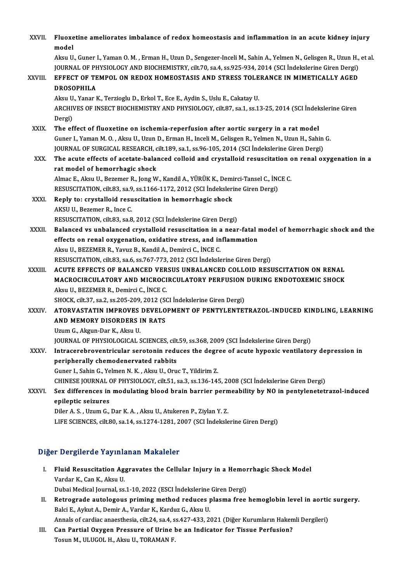| XXVII.  | Fluoxetine ameliorates imbalance of redox homeostasis and inflammation in an acute kidney injury<br>model                                                                                                                          |
|---------|------------------------------------------------------------------------------------------------------------------------------------------------------------------------------------------------------------------------------------|
|         | Aksu U., Guner I., Yaman O. M., Erman H., Uzun D., Sengezer-Inceli M., Sahin A., Yelmen N., Gelisgen R., Uzun H., et al.<br>JOURNAL OF PHYSIOLOGY AND BIOCHEMISTRY, cilt.70, sa.4, ss.925-934, 2014 (SCI İndekslerine Giren Dergi) |
| XXVIII. | EFFECT OF TEMPOL ON REDOX HOMEOSTASIS AND STRESS TOLERANCE IN MIMETICALLY AGED<br><b>DROSOPHILA</b>                                                                                                                                |
|         | Aksu U., Yanar K., Terzioglu D., Erkol T., Ece E., Aydin S., Uslu E., Cakatay U.                                                                                                                                                   |
|         | ARCHIVES OF INSECT BIOCHEMISTRY AND PHYSIOLOGY, cilt.87, sa.1, ss.13-25, 2014 (SCI İndekslerine Giren<br>Dergi)                                                                                                                    |
| XXIX.   | The effect of fluoxetine on ischemia-reperfusion after aortic surgery in a rat model                                                                                                                                               |
|         | Guner I., Yaman M. O., Aksu U., Uzun D., Erman H., Inceli M., Gelisgen R., Yelmen N., Uzun H., Sahin G.                                                                                                                            |
|         | JOURNAL OF SURGICAL RESEARCH, cilt.189, sa.1, ss.96-105, 2014 (SCI İndekslerine Giren Dergi)                                                                                                                                       |
| XXX.    | The acute effects of acetate-balanced colloid and crystalloid resuscitation on renal oxygenation in a                                                                                                                              |
|         | rat model of hemorrhagic shock                                                                                                                                                                                                     |
|         | Almac E., Aksu U., Bezemer R., Jong W., Kandil A., YÜRÜK K., Demirci-Tansel C., İNCE C.                                                                                                                                            |
|         | RESUSCITATION, cilt.83, sa.9, ss.1166-1172, 2012 (SCI İndekslerine Giren Dergi)                                                                                                                                                    |
| XXXI.   | Reply to: crystalloid resuscitation in hemorrhagic shock                                                                                                                                                                           |
|         | AKSU U., Bezemer R., Ince C.                                                                                                                                                                                                       |
|         | RESUSCITATION, cilt.83, sa.8, 2012 (SCI Indekslerine Giren Dergi)                                                                                                                                                                  |
| XXXII.  | Balanced vs unbalanced crystalloid resuscitation in a near-fatal model of hemorrhagic shock and the                                                                                                                                |
|         | effects on renal oxygenation, oxidative stress, and inflammation                                                                                                                                                                   |
|         | Aksu U., BEZEMER R., Yavuz B., Kandil A., Demirci C., İNCE C.                                                                                                                                                                      |
|         | RESUSCITATION, cilt.83, sa.6, ss.767-773, 2012 (SCI Indekslerine Giren Dergi)                                                                                                                                                      |
| XXXIII. | ACUTE EFFECTS OF BALANCED VERSUS UNBALANCED COLLOID RESUSCITATION ON RENAL                                                                                                                                                         |
|         | MACROCIRCULATORY AND MICROCIRCULATORY PERFUSION DURING ENDOTOXEMIC SHOCK                                                                                                                                                           |
|         | Aksu U., BEZEMER R., Demirci C., İNCE C.                                                                                                                                                                                           |
|         | SHOCK, cilt.37, sa.2, ss.205-209, 2012 (SCI İndekslerine Giren Dergi)                                                                                                                                                              |
| XXXIV.  | ATORVASTATIN IMPROVES DEVELOPMENT OF PENTYLENTETRAZOL-INDUCED KINDLING, LEARNING                                                                                                                                                   |
|         | AND MEMORY DISORDERS IN RATS                                                                                                                                                                                                       |
|         | Uzum G., Akgun-Dar K., Aksu U.                                                                                                                                                                                                     |
|         | JOURNAL OF PHYSIOLOGICAL SCIENCES, cilt.59, ss.368, 2009 (SCI Indekslerine Giren Dergi)                                                                                                                                            |
| XXXV.   | Intracerebroventricular serotonin reduces the degree of acute hypoxic ventilatory depression in                                                                                                                                    |
|         | peripherally chemodenervated rabbits                                                                                                                                                                                               |
|         | Guner I., Sahin G., Yelmen N. K., Aksu U., Oruc T., Yildirim Z.                                                                                                                                                                    |
|         | CHINESE JOURNAL OF PHYSIOLOGY, cilt.51, sa.3, ss.136-145, 2008 (SCI İndekslerine Giren Dergi)                                                                                                                                      |
| XXXVI.  | Sex differences in modulating blood brain barrier permeability by NO in pentylenetetrazol-induced                                                                                                                                  |
|         | epileptic seizures                                                                                                                                                                                                                 |
|         | Diler A. S., Uzum G., Dar K. A., Aksu U., Atukeren P., Ziylan Y. Z.                                                                                                                                                                |
|         | LIFE SCIENCES, cilt.80, sa.14, ss.1274-1281, 2007 (SCI Indekslerine Giren Dergi)                                                                                                                                                   |
|         |                                                                                                                                                                                                                                    |

# Diğer Dergilerde Yayınlanan Makaleler

- Iger Dergilerde Yayınlanan Makaleler<br>I. Fluid Resuscitation Aggravates the Cellular Injury in a Hemorrhagic Shock Model You gives all yourself<br>Fluid Resuscitation Ag<br>Vardar K., Can K., Aksu U.<br>Dubei Mediael Jeurnal es Fluid Resuscitation Aggravates the Cellular Injury in a Hemor<br>Vardar K., Can K., Aksu U.<br>Dubai Medical Journal, ss.1-10, 2022 (ESCI İndekslerine Giren Dergi)<br>Petresrede auteleseve primins method reduses plasma free. Vardar K., Can K., Aksu U.<br>Dubai Medical Journal, ss.1-10, 2022 (ESCI İndekslerine Giren Dergi)<br>II. Retrograde autologous priming method reduces plasma free hemoglobin level in aortic surgery.<br>Pelsi E. Avlut A. Demin A. Ve
- Dubai Medical Journal, ss.1-10, 2022 (ESCI İndekslerine Giren Dergi)<br>Retrograde autologous priming method reduces plasma free<br>Balci E., Aykut A., Demir A., Vardar K., Karduz G., Aksu U. Retrograde autologous priming method reduces plasma free hemoglobin level in aortic<br>Balci E., Aykut A., Demir A., Vardar K., Karduz G., Aksu U.<br>Annals of cardiac anaesthesia, cilt.24, sa.4, ss.427-433, 2021 (Diğer Kurumlar Balci E., Aykut A., Demir A., Vardar K., Karduz G., Aksu U.<br>Annals of cardiac anaesthesia, cilt.24, sa.4, ss.427-433, 2021 (Diğer Kurumların Haken<br>III. Can Partial Oxygen Pressure of Urine be an Indicator for Tissue Perfus

Annals of cardiac anaesthesia, cilt.24, sa.4, s<br><mark>Can Partial Oxygen Pressure of Urine l</mark><br>Tosun M., ULUGOL H., Aksu U., TORAMAN F.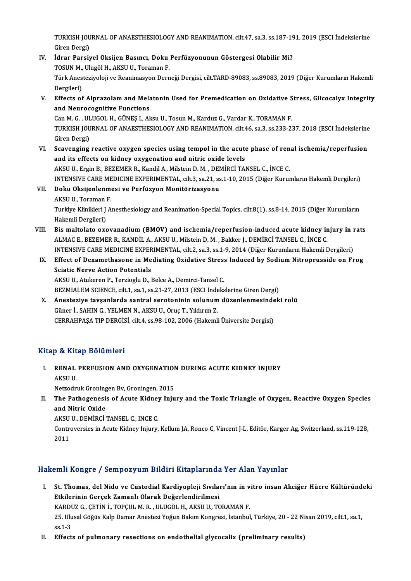TURKISH JOURNAL OF ANAESTHESIOLOGY AND REANIMATION, cilt.47, sa.3, ss.187-191, 2019 (ESCI İndekslerine<br>Ciron Dargi) TURKISH JOU<br>Giren Dergi)<br>İdrar Paraix TURKISH JOURNAL OF ANAESTHESIOLOGY AND REANIMATION, cilt.47, sa.3, ss.187-19<br>Giren Dergi)<br>IV. İdrar Parsiyel Oksijen Basıncı, Doku Perfüzyonunun Göstergesi Olabilir Mi?<br>TOSUN M. Ulyağl H. AKSU U. Toroman E

- Giren Dergi)<br>İdrar Parsiyel Oksijen Basıncı, Doku<br>TOSUN M., Ulugöl H., AKSU U., Toraman F.<br>Türk Anesteriyeleji ve Beanimesyan Dann Türk Anesteziyoloji ve Reanimasyon Derneği Dergisi, cilt.TARD-89083, ss.89083, 2019 (Diğer Kurumların Hakemli<br>Dergileri) TOSUN M., Ulugöl H., AKSU U., Toraman F. Türk Anesteziyoloji ve Reanimasyon Derneği Dergisi, cilt.TARD-89083, ss.89083, 2019 (Diğer Kurumların Hakemli<br>Dergileri)<br>V. Effects of Alprazolam and Melatonin Used for Premedication on Oxidative Stress, Glicocalyx Integri
- Dergileri)<br>Effects of Alprazolam and Mela<br>and Neurocognitive Functions<br>Can M.C., ULUCOL H. CÜNES LAL Effects of Alprazolam and Melatonin Used for Premedication on Oxidative S<br>and Neurocognitive Functions<br>Can M. G., ULUGOL H., GÜNEŞ I., Aksu U., Tosun M., Karduz G., Vardar K., TORAMAN F.<br>TURKISH JOURNAL OF ANAESTHESIOLOCY

and Neurocognitive Functions<br>Can M. G. , ULUGOL H., GÜNEŞ I., Aksu U., Tosun M., Karduz G., Vardar K., TORAMAN F.<br>TURKISH JOURNAL OF ANAESTHESIOLOGY AND REANIMATION, cilt.46, sa.3, ss.233-237, 2018 (ESCI İndekslerine<br>Ciron Can M. G., ULUGOL H., GÜNEŞ I., Aksu U., Tosun M., Karduz G., Vardar K., TORAMAN F.<br>TURKISH JOURNAL OF ANAESTHESIOLOGY AND REANIMATION, cilt.46, sa.3, ss.233-237, 2018 (ESCI İndekslerine<br>Giren Dergi)<br>VI. Scavenging rea TURKISH JOURNAL OF ANAESTHESIOLOGY AND REANIMATION, cilt.46, sa.3, ss.233-237, 2018 (ESCI Indekslerine<br>Giren Dergi)<br>VI. Scavenging reactive oxygen species using tempol in the acute phase of renal ischemia/reperfusion<br>and i

- and its effects on kidney oxygenation and nitric oxide levels AKSU U., Ergin B., BEZEMER R., Kandil A., Milstein D. M., DEMİRCİ TANSEL C., İNCE C. and its effects on kidney oxygenation and nitric oxide levels<br>AKSU U., Ergin B., BEZEMER R., Kandil A., Milstein D. M. , DEMİRCİ TANSEL C., İNCE C.<br>INTENSIVE CARE MEDICINE EXPERIMENTAL, cilt.3, sa.21, ss.1-10, 2015 (Diğer
- VII. Doku Oksijenlenmesi ve Perfüzyon Monitörizasyonu INTENSIVE CARE ME<br><mark>Doku Oksijenlenm</mark><br>AKSU U., Toraman F.<br>Turkive Klinikleri LA Turkiye Klinikleri J Anesthesiology and Reanimation-Special Topics, cilt.8(1), ss.8-14, 2015 (Diğer Kurumların<br>Hakemli Dergileri) AKSU U., Toraman F. Turkiye Klinikleri J Anesthesiology and Reanimation-Special Topics, cilt.8(1), ss.8-14, 2015 (Diğer Kurumların<br>Hakemli Dergileri)<br>VIII. Bis maltolato oxovanadium (BMOV) and ischemia/reperfusion-induced acute kidney injury
- Hakemli Dergileri)<br>Bis maltolato oxovanadium (BMOV) and ischemia/reperfusion-induced acute kidney ir<br>ALMAC E., BEZEMER R., KANDİL A., AKSU U., Milstein D. M. , Bakker J., DEMİRCİ TANSEL C., İNCE C.<br>INTENSIVE CARE MEDICINE Bis maltolato oxovanadium (BMOV) and ischemia/reperfusion-induced acute kidney injury in 1<br>ALMAC E., BEZEMER R., KANDİL A., AKSU U., Milstein D. M. , Bakker J., DEMİRCİ TANSEL C., İNCE C.<br>INTENSIVE CARE MEDICINE EXPERIMENT ALMAC E., BEZEMER R., KANDİL A., AKSU U., Milstein D. M. , Bakker J., DEMİRCİ TANSEL C., İNCE C.<br>INTENSIVE CARE MEDICINE EXPERIMENTAL, cilt.2, sa.3, ss.1-9, 2014 (Diğer Kurumların Hakemli Dergileri)<br>IX. Effect of Dexametha

# INTENSIVE CARE MEDICINE EXPER<br>Effect of Dexamethasone in Me<br>Sciatic Nerve Action Potentials<br>AKSULU Atukeren B. Terriegh: D. 1 Effect of Dexamethasone in Mediating Oxidative Stress<br>Sciatic Nerve Action Potentials<br>AKSU U., Atukeren P., Terzioglu D., Belce A., Demirci-Tansel C.<br>PEZMIALEM SCIENCE sit 1, so 1, so 21, 27, 2012 (ESCL Indeks Sciatic Nerve Action Potentials<br>AKSU U., Atukeren P., Terzioglu D., Belce A., Demirci-Tansel C.<br>BEZMIALEM SCIENCE, cilt.1, sa.1, ss.21-27, 2013 (ESCI İndekslerine Giren Dergi)<br>Anesteriya taysanlarda santral sanstaninin sal

AKSU U., Atukeren P., Terzioglu D., Belce A., Demirci-Tansel C.<br>BEZMIALEM SCIENCE, cilt.1, sa.1, ss.21-27, 2013 (ESCI İndekslerine Giren Dergi)<br>X. Anesteziye tavşanlarda santral serotoninin solunum düzenlenmesindeki rolü<br>G BEZMIALEM SCIENCE, cilt.1, sa.1, ss.21-27, 2013 (ESCI İnde<br>Anesteziye tavşanlarda santral serotoninin solunum<br>Güner İ., SAHIN G., YELMEN N., AKSU U., Oruç T., Yıldırım Z.<br>CERRAHRASA TIR DERÇİSİ. cilt.4, ss.99, 102, 2006 (H CERRAHPAŞA TIP DERGİSİ, cilt.4, ss.98-102, 2006 (Hakemli Üniversite Dergisi)

## Kitap & Kitap Bölümleri

itap & Kitap Bölümleri<br>I. RENAL PERFUSION AND OXYGENATION DURING ACUTE KIDNEY INJURY<br>AKSU U P & ARE<br>RENAL<br>AKSU U. RENAL PERFUSION AND OXYGENATION<br>AKSU U.<br>Netzodruk Groningen Bv, Groningen, 2015<br>The Bathogenesis of Asute Kidney Iniu

AKSU U.<br>Netzodruk Groningen Bv, Groningen, 2015<br>II. The Pathogenesis of Acute Kidney Injury and the Toxic Triangle of Oxygen, Reactive Oxygen Species<br>and Nitric Oxide Netzodruk Groning<br>The Pathogenesi<br>and Nitric Oxide<br>AKSULL DEMIPCI The Pathogenesis of Acute Kidner<br>and Nitric Oxide<br>AKSU U., DEMİRCİ TANSEL C., INCE C.<br>Controversies in Asute Kidney Injury.

AKSU U., DEMİRCİ TANSEL C., INCE C.

and Nitric Oxide<br>AKSU U., DEMİRCİ TANSEL C., INCE C.<br>Controversies in Acute Kidney Injury, Kellum JA, Ronco C, Vincent J-L, Editör, Karger Ag, Switzerland, ss.119-128,<br>2011

# Hakemli Kongre / Sempozyum Bildiri Kitaplarında Yer Alan Yayınlar

- akemli Kongre / Sempozyum Bildiri Kitaplarında Yer Alan Yayınlar<br>I. St. Thomas, del Nido ve Custodial Kardiyopleji Sıvıları'nın in vitro insan Akciğer Hücre Kültüründeki<br>Etkilerinin Ceneek Zemanlı Olarak Değerlandirilmesi enin Kongre 7 osmponyanı bilanı kitapial ilidi<br>St. Thomas, del Nido ve Custodial Kardiyopleji Sıvıla<br>Etkilerinin Gerçek Zamanlı Olarak Değerlendirilmesi<br>KARDUZ G. GETİN İ. TORGULM B. ULUGÖL H. AKSULU TG St. Thomas, del Nido ve Custodial Kardiyopleji Sıvıları'nın in v<br>Etkilerinin Gerçek Zamanlı Olarak Değerlendirilmesi<br>KARDUZ G.,ÇETİN İ., TOPÇUL M. R. , ULUGÖL H., AKSU U., TORAMAN F.<br>25 Hlugel Göğüs Kalp Daman Anestari Yağ Etkilerinin Gerçek Zamanlı Olarak Değerlendirilmesi<br>KARDUZ G., ÇETİN İ., TOPÇUL M. R. , ULUGÖL H., AKSU U., TORAMAN F.<br>25. Ulusal Göğüs Kalp Damar Anestezi Yoğun Bakım Kongresi, İstanbul, Türkiye, 20 - 22 Nisan 2019, cilt. KARDI<br>25. Ulu<br>ss.1-3<br>Effect 25. Ulusal Göğüs Kalp Damar Anestezi Yoğun Bakım Kongresi, İstanbul, Türkiye, 20 - 22 Ni<br>1. Ss.1-3<br>II. Effects of pulmonary resections on endothelial glycocalix (preliminary results)
-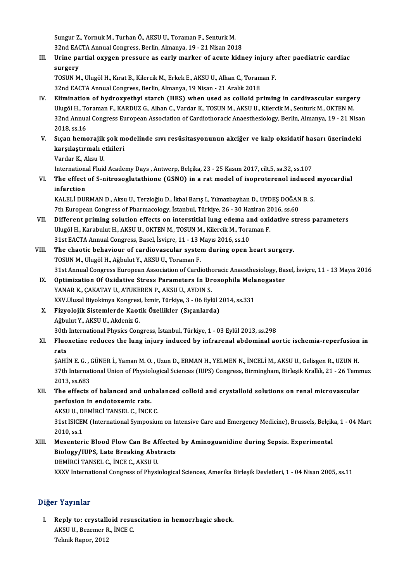Sungur Z., Yornuk M., Turhan Ö., AKSU U., Toraman F., Senturk M.<br>22nd EACTA Annual Congress, Berlin, Almanya, 10,, 21 Nisan 201 Sungur Z., Yornuk M., Turhan Ö., AKSU U., Toraman F., Senturk M.<br>32nd EACTA Annual Congress, Berlin, Almanya, 19 - 21 Nisan 2018<br>Unine portial euvren pressure es sonly marker of esute kidr 32nd EACTA Annual Congress, Berlin, Almanya, 19 - 21 Nisan 2018

III. Urine partial oxygen pressure as early marker of acute kidney injury after paediatric cardiac surgery Urine partial oxygen pressure as early marker of acute kidney injury a<br>surgery<br>TOSUN M., Ulugöl H., Kırat B., Kilercik M., Erkek E., AKSU U., Alhan C., Toraman F.<br>22nd EACTA Annual Congress, Berlin, Almanya 19 Nisan, 21 Ar surgery<br>TOSUN M., Ulugöl H., Kırat B., Kilercik M., Erkek E., AKSU U., Alhan C., Toram<br>32nd EACTA Annual Congress, Berlin, Almanya, 19 Nisan - 21 Aralık 2018<br>Elimination of bydroxyatbyl starsb (HES) when used as solloid pr

- TOSUN M., Ulugöl H., Kırat B., Kilercik M., Erkek E., AKSU U., Alhan C., Toraman F.<br>32nd EACTA Annual Congress, Berlin, Almanya, 19 Nisan 21 Aralık 2018<br>IV. Elimination of hydroxyethyl starch (HES) when used as colloid p 32nd EACTA Annual Congress, Berlin, Almanya, 19 Nisan - 21 Aralık 2018<br>Elimination of hydroxyethyl starch (HES) when used as colloid priming in cardivascular surger<br>Ulugöl H., Toraman F., KARDUZ G., Alhan C., Vardar K., TO Elimination of hydroxyethyl starch (HES) when used as colloid priming in cardivascular surgery<br>Ulugöl H., Toraman F., KARDUZ G., Alhan C., Vardar K., TOSUN M., AKSU U., Kilercik M., Senturk M., OKTEN M.<br>32nd Annual Congres Ulugöl H., To<br>32nd Annua<br>2018, ss.16<br>Stean bame 32nd Annual Congress European Association of Cardiothoracic Anaesthesiology, Berlin, Almanya, 19 - 21 Nisa:<br>2018, ss.16<br>V. Sıçan hemorajik şok modelinde sıvı resüsitasyonunun akciğer ve kalp oksidatif hasarı üzerindeki
- 2018, ss.16<br>Sıçan hemorajik şok m<br>karşılaştırmalı etkileri<br>Verder K. Akay U Sıçan hemorajik<br>karşılaştırmalı e<br>Vardar K., Aksu U.<br>International Eluid karşılaştırmalı etkileri<br>Vardar K., Aksu U.<br>International Fluid Academy Days , Antwerp, Belçika, 23 - 25 Kasım 2017, cilt.5, sa.32, ss.107<br>The effect of S. pitrosoglutathione (CSNO) in a nat model of isonnaterenal induced
	-

Vardar K., Aksu U.<br>International Fluid Academy Days , Antwerp, Belçika, 23 - 25 Kasım 2017, cilt.5, sa.32, ss.107<br>VI. The effect of S-nitrosoglutathione (GSNO) in a rat model of isoproterenol induced myocardial<br>inforati Internation<br>The effect<br>infarction<br>KALELI DUI The effect of S-nitrosoglutathione (GSNO) in a rat model of isoproterenol induced<br>infarction<br>KALELİ DURMAN D., Aksu U., Terzioğlu D., İkbal Barış I., Yılmazbayhan D., UYDEŞ DOĞAN B. S.<br>7th Euronean Congress of Pharmasolagy

infarction<br>KALELİ DURMAN D., Aksu U., Terzioğlu D., İkbal Barış I., Yılmazbayhan D., UYDEŞ DOĞAN<br>7th European Congress of Pharmacology, İstanbul, Türkiye, 26 - 30 Haziran 2016, ss.60<br>Diffenent priming selution effects en i KALELİ DURMAN D., Aksu U., Terzioğlu D., İkbal Barış I., Yılmazbayhan D., UYDEŞ DOĞAN B. S.<br>7th European Congress of Pharmacology, İstanbul, Türkiye, 26 - 30 Haziran 2016, ss.60<br>VII. Different priming solution effects

- 7th European Congress of Pharmacology, İstanbul, Türkiye, 26 30 Haziran 20<br>Different priming solution effects on interstitial lung edema and oxid<br>Ulugöl H., Karabulut H., AKSU U., OKTEN M., TOSUN M., Kilercik M., Toraman Ulugöl H., Karabulut H., AKSU U., OKTEN M., TOSUN M., Kilercik M., Toraman F.<br>31st EACTA Annual Congress, Basel, İsviçre, 11 - 13 Mayıs 2016, ss.10
- VIII. The chaotic behaviour of cardiovascular system during open heart surgery. TOSUN M., Ulugöl H., Ağbulut Y., AKSU U., Toraman F. The chaotic behaviour of cardiovascular system during open heart surgery.<br>TOSUN M., Ulugöl H., Ağbulut Y., AKSU U., Toraman F.<br>31st Annual Congress European Association of Cardiothoracic Anaesthesiology, Basel, İsviçre, 11 TOSUN M., Ulugöl H., Ağbulut Y., AKSU U., Toraman F.<br>31st Annual Congress European Association of Cardiothoracic Anaesthesiology, Ba:<br>IX. Optimization Of Oxidative Stress Parameters In Drosophila Melanogaster<br>VANAR K. GAKA
- 31st Annual Congress European Association of Cardiothe<br>Optimization Of Oxidative Stress Parameters In Dr<br>YANAR K., ÇAKATAY U., ATUKEREN P., AKSU U., AYDIN S.<br>YYV Ulusal Bivokimya Kongresi, İsmir, Türkiye 3, 06 Eyl Optimization Of Oxidative Stress Parameters In Drosophila Mela<br>YANAR K., ÇAKATAY U., ATUKEREN P., AKSU U., AYDIN S.<br>XXV.Ulusal Biyokimya Kongresi, İzmir, Türkiye, 3 - 06 Eylül 2014, ss.331<br>Fizyolojik Sistemlarda Kaetik Öze YANAR K., ÇAKATAY U., ATUKEREN P., AKSU U., AYDIN S.<br>XXV.Ulusal Biyokimya Kongresi, İzmir, Türkiye, 3 - 06 Eylül 2014, ss.331<br>X. Fizyolojik Sistemlerde Kaotik Özellikler (Sıçanlarda)
- AğbulutY.,AKSUU.,AkdenizG. Fizyolojik Sistemlerde Kaotik Özellikler (Sıçanlarda)<br>Ağbulut Y., AKSU U., Akdeniz G.<br>30th International Physics Congress, İstanbul, Türkiye, 1 - 03 Eylül 2013, ss.298<br>Eluovetina raduase the lung iniuny indused by infranan
- XI. Fluoxetine reduces the lung injury induced by infrarenal abdominal aortic ischemia-reperfusion in 30th<br>Fluo<br>rats<br>s^ui Fluoxetine reduces the lung injury induced by infrarenal abdominal aortic ischemia-reperfusion<br>rats<br>ŞAHİN E. G. , GÜNER İ., Yaman M. O. , Uzun D., ERMAN H., YELMEN N., İNCELİ M., AKSU U., Gelisgen R., UZUN H.<br>27th Internat

rats<br>ŞAHİN E. G. , GÜNER İ., Yaman M. O. , Uzun D., ERMAN H., YELMEN N., İNCELİ M., AKSU U., Gelisgen R., UZUN H.<br>37th International Union of Physiological Sciences (IUPS) Congress, Birmingham, Birleşik Krallık, 21 - 26 Te **SAHIN E. G., (**<br>37th Internat<br>2013, ss.683<br>The effects 37th International Union of Physiological Sciences (IUPS) Congress, Birmingham, Birleşik Krallık, 21 - 26 Temi<br>2013, ss.683<br>XII. The effects of balanced and unbalanced colloid and crystalloid solutions on renal microvascul

2013, ss.683<br>XII. The effects of balanced and unbalanced colloid and crystalloid solutions on renal microvascular<br>perfusion in endotoxemic rats. The effects of balanced and unba<br>perfusion in endotoxemic rats.<br>AKSU U., DEMİRCİ TANSEL C., İNCE C.<br>21st ISICEM (International Sumpesius

31st ISICEM (International Symposium on Intensive Care and Emergency Medicine), Brussels, Belçika, 1 - 04 Mart<br>2010, ss.1 AKSU U., D.<br>31st ISICEI<br>2010, ss.1<br>Mosenteri 31st ISICEM (International Symposium on Intensive Care and Emergency Medicine), Brussels, Belçik<br>2010, ss.1<br>XIII. Mesenteric Blood Flow Can Be Affected by Aminoguanidine during Sepsis. Experimental<br>Piology (IIIPS, Late Pre

# 2010, ss.1<br>Mesenteric Blood Flow Can Be Affected<br>Biology/IUPS, Late Breaking Abstracts<br>DEMiPCI TANSEL C. INCE C. AKSU U Mesenteric Blood Flow Can Be Af<br>Biology/IUPS, Late Breaking Abst<br>DEMİRCİ TANSEL C., İNCE C., AKSU U.<br>YYYV International Congress of Physi Biology/IUPS, Late Breaking Abstracts<br>DEMİRCİ TANSEL C., İNCE C., AKSU U.<br>XXXV International Congress of Physiological Sciences, Amerika Birleşik Devletleri, 1 - 04 Nisan 2005, ss.11

## Diğer Yayınlar

iğer Yayınlar<br>I. Reply to: crystalloid resuscitation in hemorrhagic shock.<br>AKSU U. Beremen B. İNCE C. AMA AMA AMA<br>Reply to: crystalloid resu:<br>AKSU U., Bezemer R., İNCE C.<br>Telmik Banen 2012 Reply to: crystall<br>AKSU U., Bezemer R<br>Teknik Rapor, 2012